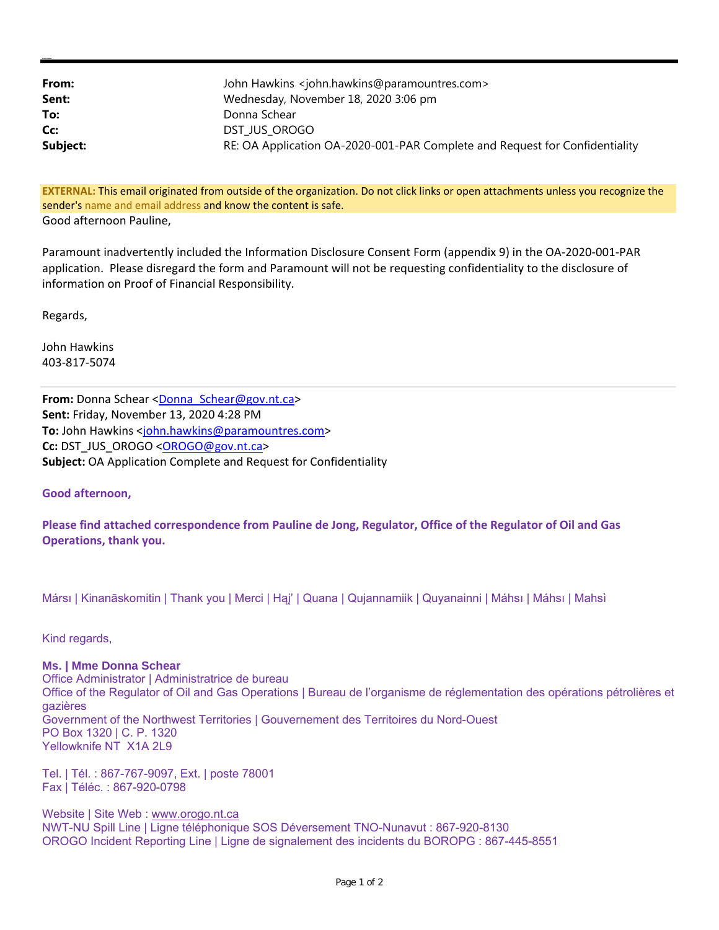| From:<br>Sent: | John Hawkins <john.hawkins@paramountres.com><br/>Wednesday, November 18, 2020 3:06 pm</john.hawkins@paramountres.com> |
|----------------|-----------------------------------------------------------------------------------------------------------------------|
| To:            | Donna Schear                                                                                                          |
| Cc:            | DST JUS OROGO                                                                                                         |
| Subject:       | RE: OA Application OA-2020-001-PAR Complete and Request for Confidentiality                                           |

**EXTERNAL:** This email originated from outside of the organization. Do not click links or open attachments unless you recognize the sender's name and email address and know the content is safe. Good afternoon Pauline,

Paramount inadvertently included the Information Disclosure Consent Form (appendix 9) in the OA‐2020‐001‐PAR application. Please disregard the form and Paramount will not be requesting confidentiality to the disclosure of information on Proof of Financial Responsibility.

Regards,

**Kristen Cameron**

John Hawkins 403‐817‐5074

From: Donna Schear <Donna\_Schear@gov.nt.ca> **Sent:** Friday, November 13, 2020 4:28 PM **To:** John Hawkins <john.hawkins@paramountres.com> **Cc:** DST\_JUS\_OROGO <OROGO@gov.nt.ca> **Subject:** OA Application Complete and Request for Confidentiality

**Good afternoon,**

Please find attached correspondence from Pauline de Jong, Regulator, Office of the Regulator of Oil and Gas **Operations, thank you.** 

Mársı | Kinanāskomitin | Thank you | Merci | Hąį' | Quana | Qujannamiik | Quyanainni | Máhsı | Máhsı | Mahsı̀

Kind regards,

## **Ms. | Mme Donna Schear**

Office Administrator | Administratrice de bureau Office of the Regulator of Oil and Gas Operations | Bureau de l'organisme de réglementation des opérations pétrolières et gazières Government of the Northwest Territories | Gouvernement des Territoires du Nord-Ouest PO Box 1320 | C. P. 1320 Yellowknife NT X1A 2L9

Tel. | Tél. : 867-767-9097, Ext. | poste 78001 Fax | Téléc. : 867-920-0798

Website | Site Web : www.orogo.nt.ca NWT-NU Spill Line | Ligne téléphonique SOS Déversement TNO-Nunavut : 867-920-8130 OROGO Incident Reporting Line | Ligne de signalement des incidents du BOROPG : 867-445-8551